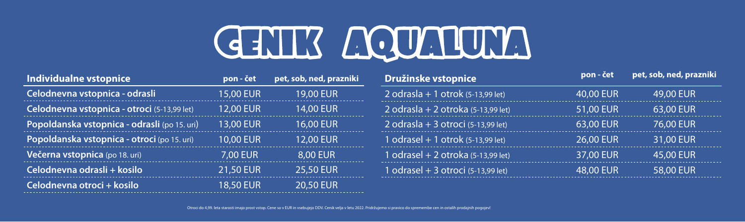## **Individualne vstopnice**

Celodnevna vstopnica - odrasli --------------------------Celodnevna vstopnica - otroci (5-13,99 let) Popoldanska vstopnica - odrasli (po 15, **Popoldanska vstopnica - otroci** (po 15. u **Večerna vstopnica (po 18. uri)** Celodnevna odrasli + kosilo **Celodnevna otroci + kosilo** 1

# GENTIS MONTENTE

|                | pon - čet        | pet, sob, ned, prazniki |
|----------------|------------------|-------------------------|
|                | <b>15,00 EUR</b> | <b>19,00 EUR</b>        |
| $\mathsf{et})$ | <b>12,00 EUR</b> | <b>14,00 EUR</b>        |
| uri)           | <b>13,00 EUR</b> | <b>16,00 EUR</b>        |
| ri)            | <b>10,00 EUR</b> | <b>12,00 EUR</b>        |
|                | 7,00 EUR         | 8,00 EUR                |
|                | <b>21,50 EUR</b> | <b>25,50 EUR</b>        |
|                | <b>18,50 EUR</b> | <b>20,50 EUR</b>        |

Otroci do 4,99. leta starosti imajo prost vstop. Cene so v EUR in vsebujejo DDV. Cenik velja v letu 2022. Pridržujemo si pravico do spremembe cen in ostalih prodajnih pogojev!

| Družinske vstopnice                  | pon - čet        | pet, sob, ned, prazniki |
|--------------------------------------|------------------|-------------------------|
| $2$ odrasla + 1 otrok (5-13,99 let)  | 40,00 EUR        | 49,00 EUR               |
| 2 odrasla + 2 otroka (5-13,99 let)   | 51,00 EUR        | 63,00 EUR               |
| $2$ odrasla + 3 otroci (5-13,99 let) | 63,00 EUR        | 76,00 EUR               |
| 1 odrasel + 1 otrok $(5-13,99$ let)  | 26,00 EUR 20     | 31,00 EUR               |
| 1 odrasel + 2 otroka (5-13,99 let)   | 37,00 EUR        | 45,00 EUR               |
| 1 odrasel + 3 otroci (5-13,99 let)   | <b>48,00 EUR</b> | <b>58,00 EUR</b>        |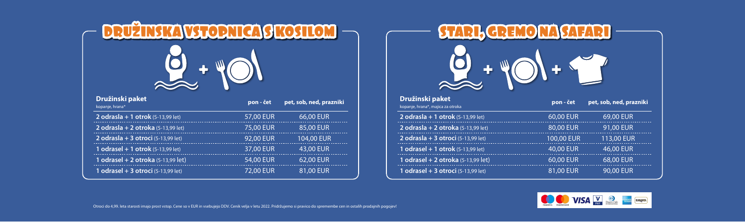Otroci do 4,99. leta starosti imajo prost vstop. Cene so v EUR in vsebujejo DDV. Cenik velja v letu 2022. Pridržujemo si pravico do spremembe cen in ostalih prodajnih pogojev!



### **Družinski paket**

| DRUŽINSKA VSTODNICA SKOSILOM<br>2.40   |                  |                         |                                                             | $\frac{1}{2}$ |                         |  |
|----------------------------------------|------------------|-------------------------|-------------------------------------------------------------|---------------|-------------------------|--|
| užinski paket<br>anje, hrana $^\ast$   | pon - čet        | pet, sob, ned, prazniki | <b>Družinski paket</b><br>kopanje, hrana*, majica za otroka | pon - čet     | pet, sob, ned, prazniki |  |
| drasla + 1 otrok $(5-13,99$ let)       | 57,00 EUR        | 66.00 EUR               | 2 odrasla + 1 otrok $(5-13,99 \text{ let})$                 | 60.00 EUR     | 69.00 EUR               |  |
| drasla + 2 otroka $(5-13,99$ let)      | 75,00 EUR        | 85.00 EUR               | 2 odrasla + 2 otroka $(5-13,99 \text{ let})$                | 80.00 EUR     | <b>91,00 EUR</b>        |  |
| drasla + 3 otroci $(5-13,99$ let)      | <b>92,00 EUR</b> | 104.00 EUR              | 2 odrasla + 3 otroci (5-13,99 let)                          | 100.00 EUR    | <b>113,00 EUR</b>       |  |
| drasel + 1 otrok $(5-13,99$ let)       | 37,00 EUR        |                         | 1 odrasel + 1 otrok (5-13,99 let)                           | 40.00 EUR     | <b>46,00 EUR</b>        |  |
| drasel + 2 otroka $(5-13,99$ let)      | <b>54,00 EUR</b> | 62,00 EUR               | 1 odrasel + 2 otroka $(5-13,99$ let)                        | 60,00 EUR     | 68,00 EUR               |  |
| <b>drasel + 3 otroci</b> (5-13,99 let) | <b>72,00 EUR</b> | 81,00 EUR               | 1 odrasel + 3 otroci $(5-13,99$ let)                        | 81,00 EUR     | <b>90,00 EUR</b>        |  |



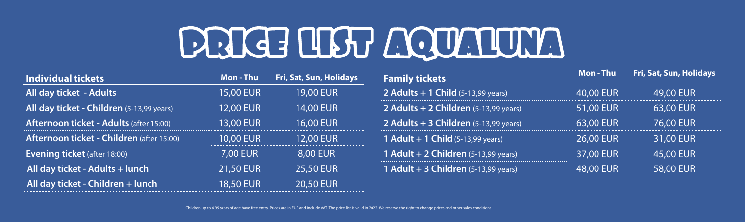**Individual tickets Mon - Thu Fri, Sat, Sun, Holidays All day ticket - Adults** 15,00 EUR 19,00 EUR **All day ticket - Children** (5-13,99 years) 12,00 EUR 14,00 EUR **Afternoon ticket - Adults** (after 15:00) 13,00 EUR 16,00 EUR **Afternoon ticket - Children** (after 15:00) 10,00 EUR 12,00 EUR **Evening ticket** (after 18:00) **7,00 EUR** 8,00 EUR **All day ticket - Adults + lunch** 21,50 EUR 25,50 EUR **All day ticket - Children + lunch** 18,50 EUR 20,50 EUR

# RIGH LIBY LICTUL

Children up to 4.99 years of age have free entry. Prices are in EUR and include VAT. The price list is valid in 2022. We reserve the right to change prices and other sales conditions!

- **2 Adults + 1 Child** (5-13,99 years) 40,00 EUR 49,00 EUR
- **2 Adults + 2 Children** (5-13,99 years) 51,00 EUR 63,00 EUR
- **2 Adults + 3 Children** (5-13,99 years) 63,00 EUR 76,00 EUR
- **1 Adult + 1 Child**(5-13,99 years) 26,00 EUR 31,00 EUR
- **1 Adult + 2 Children** (5-13,99 years) 37,00 EUR 45,00 EUR
- **1 Adult + 3 Children** (5-13,99 years) 48,00 EUR 58,00 EUR



## **Family tickets Mon** - Thu Fri, Sat, Sun, Holidays